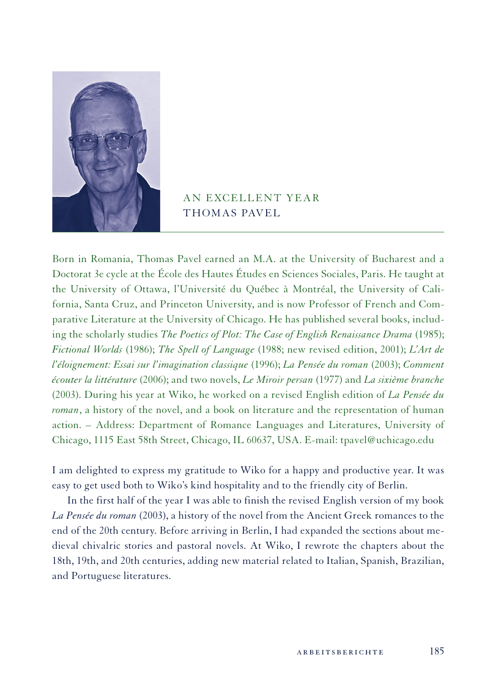

## AN EXCELLENT YEAR THOMAS PAVEL

Born in Romania, Thomas Pavel earned an M.A. at the University of Bucharest and a Doctorat 3e cycle at the École des Hautes Études en Sciences Sociales, Paris. He taught at the University of Ottawa, l'Université du Québec à Montréal, the University of California, Santa Cruz, and Princeton University, and is now Professor of French and Comparative Literature at the University of Chicago. He has published several books, including the scholarly studies *The Poetics of Plot: The Case of English Renaissance Drama* (1985); *Fictional Worlds* (1986); *The Spell of Language* (1988; new revised edition, 2001); *L'Art de l'éloignement: Essai sur l'imagination classique* (1996); *La Pensée du roman* (2003); *Comment écouter la littérature* (2006); and two novels, *Le Miroir persan* (1977) and *La sixième branche* (2003). During his year at Wiko, he worked on a revised English edition of *La Pensée du roman*, a history of the novel, and a book on literature and the representation of human action. – Address: Department of Romance Languages and Literatures, University of Chicago, 1115 East 58th Street, Chicago, IL 60637, USA. E-mail: tpavel@uchicago.edu

I am delighted to express my gratitude to Wiko for a happy and productive year. It was easy to get used both to Wiko's kind hospitality and to the friendly city of Berlin.

In the first half of the year I was able to finish the revised English version of my book *La Pensée du roman* (2003), a history of the novel from the Ancient Greek romances to the end of the 20th century. Before arriving in Berlin, I had expanded the sections about medieval chivalric stories and pastoral novels. At Wiko, I rewrote the chapters about the 18th, 19th, and 20th centuries, adding new material related to Italian, Spanish, Brazilian, and Portuguese literatures.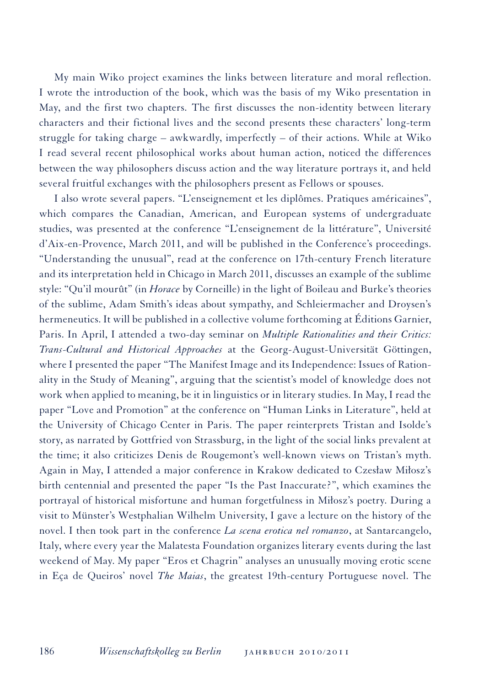My main Wiko project examines the links between literature and moral reflection. I wrote the introduction of the book, which was the basis of my Wiko presentation in May, and the first two chapters. The first discusses the non-identity between literary characters and their fictional lives and the second presents these characters' long-term struggle for taking charge – awkwardly, imperfectly – of their actions. While at Wiko I read several recent philosophical works about human action, noticed the differences between the way philosophers discuss action and the way literature portrays it, and held several fruitful exchanges with the philosophers present as Fellows or spouses.

I also wrote several papers. "L'enseignement et les diplômes. Pratiques américaines", which compares the Canadian, American, and European systems of undergraduate studies, was presented at the conference "L'enseignement de la littérature", Université d'Aix-en-Provence, March 2011, and will be published in the Conference's proceedings. "Understanding the unusual", read at the conference on 17th-century French literature and its interpretation held in Chicago in March 2011, discusses an example of the sublime style: "Qu'il mourût" (in *Horace* by Corneille) in the light of Boileau and Burke's theories of the sublime, Adam Smith's ideas about sympathy, and Schleiermacher and Droysen's hermeneutics. It will be published in a collective volume forthcoming at Éditions Garnier, Paris. In April, I attended a two-day seminar on *Multiple Rationalities and their Critics: Trans-Cultural and Historical Approaches* at the Georg-August-Universität Göttingen, where I presented the paper "The Manifest Image and its Independence: Issues of Rationality in the Study of Meaning", arguing that the scientist's model of knowledge does not work when applied to meaning, be it in linguistics or in literary studies. In May, I read the paper "Love and Promotion" at the conference on "Human Links in Literature", held at the University of Chicago Center in Paris. The paper reinterprets Tristan and Isolde's story, as narrated by Gottfried von Strassburg, in the light of the social links prevalent at the time; it also criticizes Denis de Rougemont's well-known views on Tristan's myth. Again in May, I attended a major conference in Krakow dedicated to Czesław Miłosz's birth centennial and presented the paper "Is the Past Inaccurate?", which examines the portrayal of historical misfortune and human forgetfulness in Miłosz's poetry. During a visit to Münster's Westphalian Wilhelm University, I gave a lecture on the history of the novel. I then took part in the conference *La scena erotica nel romanzo*, at Santarcangelo, Italy, where every year the Malatesta Foundation organizes literary events during the last weekend of May. My paper "Eros et Chagrin" analyses an unusually moving erotic scene in Eça de Queiros' novel *The Maias*, the greatest 19th-century Portuguese novel. The